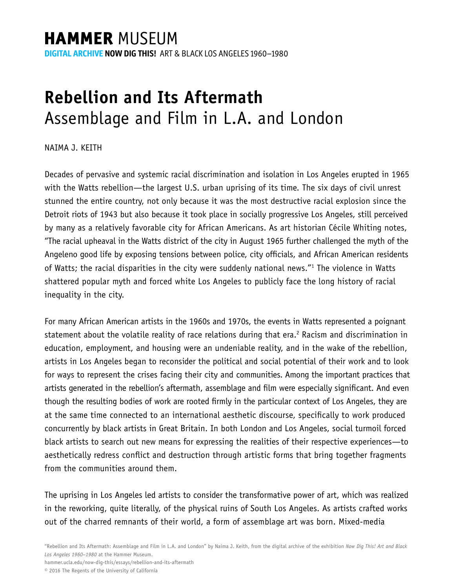## **HAMMER MUSEUM**

**DIGITAL ARCHIVE NOW DIG THIS!** ART & BLACK LOS ANGELES 1960–1980

## **Rebellion and Its Aftermath** Assemblage and Film in L.A. and London

NAIMA J. KEITH

Decades of pervasive and systemic racial discrimination and isolation in Los Angeles erupted in 1965 with the Watts rebellion—the largest U.S. urban uprising of its time. The six days of civil unrest stunned the entire country, not only because it was the most destructive racial explosion since the Detroit riots of 1943 but also because it took place in socially progressive Los Angeles, still perceived by many as a relatively favorable city for African Americans. As art historian Cécile Whiting notes, "The racial upheaval in the Watts district of the city in August 1965 further challenged the myth of the Angeleno good life by exposing tensions between police, city officials, and African American residents of Watts; the racial disparities in the city were suddenly national news."<sup>1</sup> The violence in Watts shattered popular myth and forced white Los Angeles to publicly face the long history of racial inequality in the city.

For many African American artists in the 1960s and 1970s, the events in Watts represented a poignant statement about the volatile reality of race relations during that era.<sup>2</sup> Racism and discrimination in education, employment, and housing were an undeniable reality, and in the wake of the rebellion, artists in Los Angeles began to reconsider the political and social potential of their work and to look for ways to represent the crises facing their city and communities. Among the important practices that artists generated in the rebellion's aftermath, assemblage and film were especially significant. And even though the resulting bodies of work are rooted firmly in the particular context of Los Angeles, they are at the same time connected to an international aesthetic discourse, specifically to work produced concurrently by black artists in Great Britain. In both London and Los Angeles, social turmoil forced black artists to search out new means for expressing the realities of their respective experiences—to aesthetically redress conflict and destruction through artistic forms that bring together fragments from the communities around them.

The uprising in Los Angeles led artists to consider the transformative power of art, which was realized in the reworking, quite literally, of the physical ruins of South Los Angeles. As artists crafted works out of the charred remnants of their world, a form of assemblage art was born. Mixed-media

hammer.ucla.edu/now-dig-this/essays/rebellion-and-its-aftermath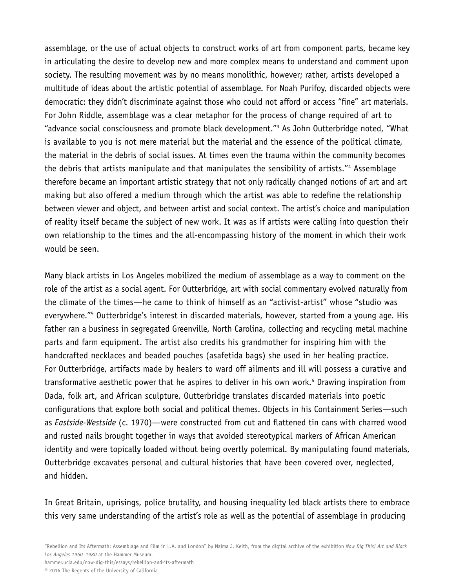assemblage, or the use of actual objects to construct works of art from component parts, became key in articulating the desire to develop new and more complex means to understand and comment upon society. The resulting movement was by no means monolithic, however; rather, artists developed a multitude of ideas about the artistic potential of assemblage. For Noah Purifoy, discarded objects were democratic: they didn't discriminate against those who could not afford or access "fine" art materials. For John Riddle, assemblage was a clear metaphor for the process of change required of art to "advance social consciousness and promote black development."3 As John Outterbridge noted, "What is available to you is not mere material but the material and the essence of the political climate, the material in the debris of social issues. At times even the trauma within the community becomes the debris that artists manipulate and that manipulates the sensibility of artists."4 Assemblage therefore became an important artistic strategy that not only radically changed notions of art and art making but also offered a medium through which the artist was able to redefine the relationship between viewer and object, and between artist and social context. The artist's choice and manipulation of reality itself became the subject of new work. It was as if artists were calling into question their own relationship to the times and the all-encompassing history of the moment in which their work would be seen.

Many black artists in Los Angeles mobilized the medium of assemblage as a way to comment on the role of the artist as a social agent. For Outterbridge, art with social commentary evolved naturally from the climate of the times—he came to think of himself as an "activist-artist" whose "studio was everywhere."<sup>5</sup> Outterbridge's interest in discarded materials, however, started from a young age. His father ran a business in segregated Greenville, North Carolina, collecting and recycling metal machine parts and farm equipment. The artist also credits his grandmother for inspiring him with the handcrafted necklaces and beaded pouches (asafetida bags) she used in her healing practice. For Outterbridge, artifacts made by healers to ward off ailments and ill will possess a curative and transformative aesthetic power that he aspires to deliver in his own work.<sup>6</sup> Drawing inspiration from Dada, folk art, and African sculpture, Outterbridge translates discarded materials into poetic configurations that explore both social and political themes. Objects in his Containment Series—such as *Eastside-Westside* (c. 1970)—were constructed from cut and flattened tin cans with charred wood and rusted nails brought together in ways that avoided stereotypical markers of African American identity and were topically loaded without being overtly polemical. By manipulating found materials, Outterbridge excavates personal and cultural histories that have been covered over, neglected, and hidden.

In Great Britain, uprisings, police brutality, and housing inequality led black artists there to embrace this very same understanding of the artist's role as well as the potential of assemblage in producing

hammer.ucla.edu/now-dig-this/essays/rebellion-and-its-aftermath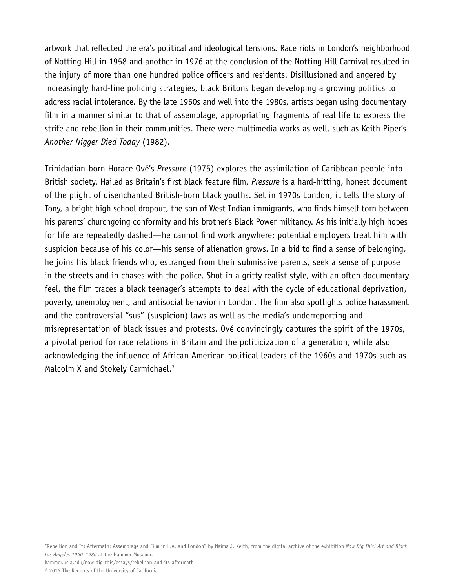artwork that reflected the era's political and ideological tensions. Race riots in London's neighborhood of Notting Hill in 1958 and another in 1976 at the conclusion of the Notting Hill Carnival resulted in the injury of more than one hundred police officers and residents. Disillusioned and angered by increasingly hard-line policing strategies, black Britons began developing a growing politics to address racial intolerance. By the late 1960s and well into the 1980s, artists began using documentary film in a manner similar to that of assemblage, appropriating fragments of real life to express the strife and rebellion in their communities. There were multimedia works as well, such as Keith Piper's *Another Nigger Died Today* (1982).

Trinidadian-born Horace Ové's *Pressure* (1975) explores the assimilation of Caribbean people into British society. Hailed as Britain's first black feature film, *Pressure* is a hard-hitting, honest document of the plight of disenchanted British-born black youths. Set in 1970s London, it tells the story of Tony, a bright high school dropout, the son of West Indian immigrants, who finds himself torn between his parents' churchgoing conformity and his brother's Black Power militancy. As his initially high hopes for life are repeatedly dashed—he cannot find work anywhere; potential employers treat him with suspicion because of his color—his sense of alienation grows. In a bid to find a sense of belonging, he joins his black friends who, estranged from their submissive parents, seek a sense of purpose in the streets and in chases with the police. Shot in a gritty realist style, with an often documentary feel, the film traces a black teenager's attempts to deal with the cycle of educational deprivation, poverty, unemployment, and antisocial behavior in London. The film also spotlights police harassment and the controversial "sus" (suspicion) laws as well as the media's underreporting and misrepresentation of black issues and protests. Ové convincingly captures the spirit of the 1970s, a pivotal period for race relations in Britain and the politicization of a generation, while also acknowledging the influence of African American political leaders of the 1960s and 1970s such as Malcolm X and Stokely Carmichael.<sup>7</sup>

"Rebellion and Its Aftermath: Assemblage and Film in L.A. and London" by Naima J. Keith, from the digital archive of the exhibition *Now Dig This! Art and Black Los Angeles 1960–1980* at the Hammer Museum. hammer.ucla.edu/now-dig-this/essays/rebellion-and-its-aftermath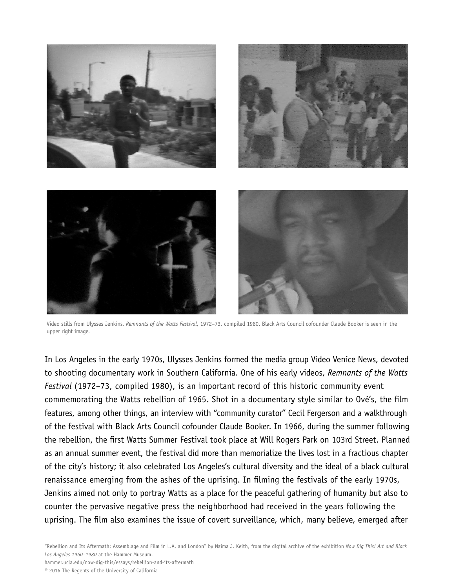

Video stills from Ulysses Jenkins, *Remnants of the Watts Festival*, 1972–73, compiled 1980. Black Arts Council cofounder Claude Booker is seen in the upper right image.

In Los Angeles in the early 1970s, Ulysses Jenkins formed the media group Video Venice News, devoted to shooting documentary work in Southern California. One of his early videos, *Remnants of the Watts Festival* (1972–73, compiled 1980), is an important record of this historic community event commemorating the Watts rebellion of 1965. Shot in a documentary style similar to Ové's, the film features, among other things, an interview with "community curator" Cecil Fergerson and a walkthrough of the festival with Black Arts Council cofounder Claude Booker. In 1966, during the summer following the rebellion, the first Watts Summer Festival took place at Will Rogers Park on 103rd Street. Planned as an annual summer event, the festival did more than memorialize the lives lost in a fractious chapter of the city's history; it also celebrated Los Angeles's cultural diversity and the ideal of a black cultural renaissance emerging from the ashes of the uprising. In filming the festivals of the early 1970s, Jenkins aimed not only to portray Watts as a place for the peaceful gathering of humanity but also to counter the pervasive negative press the neighborhood had received in the years following the uprising. The film also examines the issue of covert surveillance, which, many believe, emerged after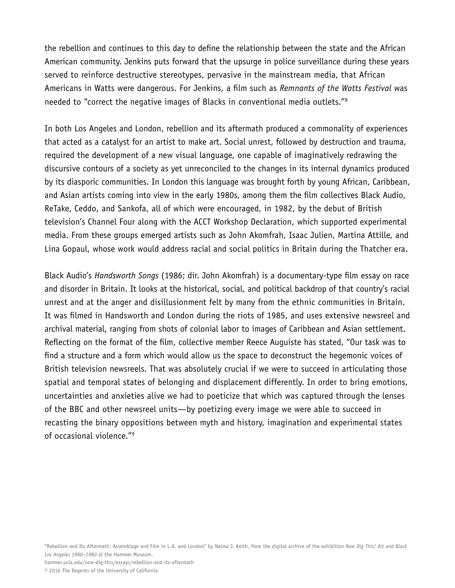the rebellion and continues to this day to define the relationship between the state and the African American community. Jenkins puts forward that the upsurge in police surveillance during these years served to reinforce destructive stereotypes, pervasive in the mainstream media, that African Americans in Watts were dangerous. For Jenkins, a film such as *Remnants of the Watts Festival* was needed to "correct the negative images of Blacks in conventional media outlets."8

In both Los Angeles and London, rebellion and its aftermath produced a commonality of experiences that acted as a catalyst for an artist to make art. Social unrest, followed by destruction and trauma, required the development of a new visual language, one capable of imaginatively redrawing the discursive contours of a society as yet unreconciled to the changes in its internal dynamics produced by its diasporic communities. In London this language was brought forth by young African, Caribbean, and Asian artists coming into view in the early 1980s, among them the film collectives Black Audio, ReTake, Ceddo, and Sankofa, all of which were encouraged, in 1982, by the debut of British television's Channel Four along with the ACCT Workshop Declaration, which supported experimental media. From these groups emerged artists such as John Akomfrah, Isaac Julien, Martina Attille, and Lina Gopaul, whose work would address racial and social politics in Britain during the Thatcher era.

Black Audio's *Handsworth Songs* (1986; dir. John Akomfrah) is a documentary-type film essay on race and disorder in Britain. It looks at the historical, social, and political backdrop of that country's racial unrest and at the anger and disillusionment felt by many from the ethnic communities in Britain. It was filmed in Handsworth and London during the riots of 1985, and uses extensive newsreel and archival material, ranging from shots of colonial labor to images of Caribbean and Asian settlement. Reflecting on the format of the film, collective member Reece Auguiste has stated, "Our task was to find a structure and a form which would allow us the space to deconstruct the hegemonic voices of British television newsreels. That was absolutely crucial if we were to succeed in articulating those spatial and temporal states of belonging and displacement differently. In order to bring emotions, uncertainties and anxieties alive we had to poeticize that which was captured through the lenses of the BBC and other newsreel units—by poetizing every image we were able to succeed in recasting the binary oppositions between myth and history, imagination and experimental states of occasional violence."9

"Rebellion and Its Aftermath: Assemblage and Film in L.A. and London" by Naima J. Keith, from the digital archive of the exhibition *Now Dig This! Art and Black Los Angeles 1960–1980* at the Hammer Museum.

hammer.ucla.edu/now-dig-this/essays/rebellion-and-its-aftermath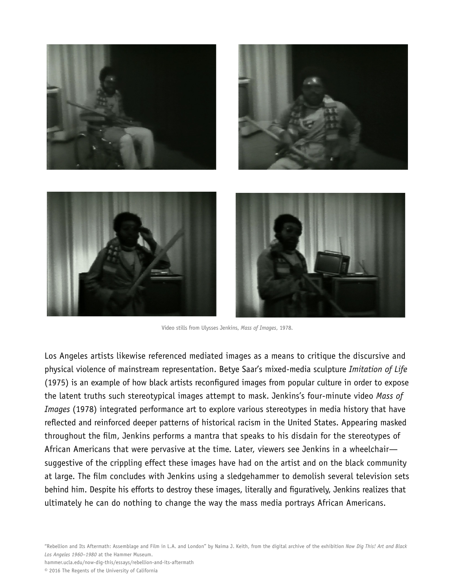

Video stills from Ulysses Jenkins, *Mass of Images*, 1978.

Los Angeles artists likewise referenced mediated images as a means to critique the discursive and physical violence of mainstream representation. Betye Saar's mixed-media sculpture *Imitation of Life* (1975) is an example of how black artists reconfigured images from popular culture in order to expose the latent truths such stereotypical images attempt to mask. Jenkins's four-minute video *Mass of Images* (1978) integrated performance art to explore various stereotypes in media history that have reflected and reinforced deeper patterns of historical racism in the United States. Appearing masked throughout the film, Jenkins performs a mantra that speaks to his disdain for the stereotypes of African Americans that were pervasive at the time. Later, viewers see Jenkins in a wheelchair suggestive of the crippling effect these images have had on the artist and on the black community at large. The film concludes with Jenkins using a sledgehammer to demolish several television sets behind him. Despite his efforts to destroy these images, literally and figuratively, Jenkins realizes that ultimately he can do nothing to change the way the mass media portrays African Americans.

hammer.ucla.edu/now-dig-this/essays/rebellion-and-its-aftermath © 2016 The Regents of the University of California